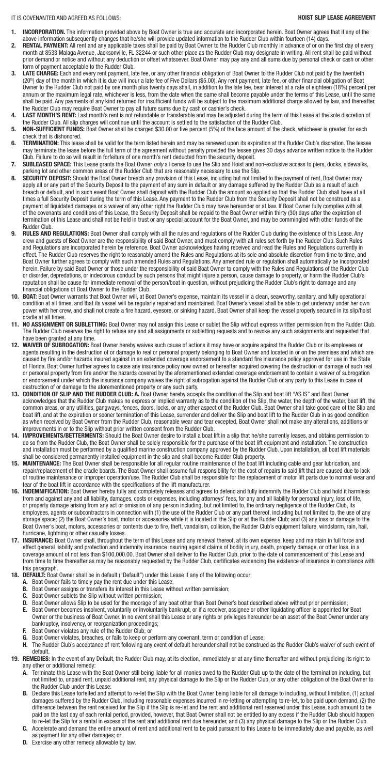- **1. INCORPORATION.** The information provided above by Boat Owner is true and accurate and incorporated herein. Boat Owner agrees that if any of the above information subsequently changes that he/she will provide updated information to the Rudder Club within fourteen (14) days.
- **2. RENTAL PAYMENT:** All rent and any applicable taxes shall be paid by Boat Owner to the Rudder Club monthly in advance of or on the first day of every month at 8533 Malaga Avenue, Jacksonville, FL 32244 or such other place as the Rudder Club may designate in writing. All rent shall be paid without prior demand or notice and without any deduction or offset whatsoever. Boat Owner may pay any and all sums due by personal check or cash or other form of payment acceptable to the Rudder Club.
- **3. LATE CHARGE:** Each and every rent payment, late fee, or any other financial obligation of Boat Owner to the Rudder Club not paid by the twentieth (20<sup>th</sup>) day of the month in which it is due will incur a late fee of Five Dollars (\$5.00). Any rent payment, late fee, or other financial obligation of Boat Owner to the Rudder Club not paid by one month plus twenty days shall, in addition to the late fee, bear interest at a rate of eighteen (18%) percent per annum or the maximum legal rate, whichever is less, from the date when the same shall become payable under the terms of this Lease, until the same shall be paid. Any payments of any kind returned for insufficient funds will be subject to the maximum additional charge allowed by law, and thereafter, the Rudder Club may require Boat Owner to pay all future sums due by cash or cashier's check.
- LAST MONTH'S RENT: Last month's rent is not refundable or transferable and may be adjusted during the term of this Lease at the sole discretion of the Rudder Club. All slip charges will continue until the account is settled to the satisfaction of the Rudder Club.
- **5. NON-SUFFICIENT FUNDS:** Boat Owner shall be charged \$30.00 or five percent (5%) of the face amount of the check, whichever is greater, for each check that is dishonored.
- **6. TERMINATION:** This lease shall be valid for the term listed herein and may be renewed upon its expiration at the Rudder Club's discretion. The lessee may terminate the lease before the full term of the agreement without penalty provided the lessee gives 30 days advance written notice to the Rudder Club. Failure to do so will result in forfeiture of one month's rent deducted from the security deposit.
- **7. SUBLEASED SPACE:** This Lease grants the Boat Owner *only* a license to use the Slip and Hoist and non-exclusive access to piers, docks, sidewalks, parking lot and other common areas of the Rudder Club that are reasonably necessary to use the Slip.
- **8. SECURITY DEPOSIT:** Should the Boat Owner breach any provision of this Lease, including but not limited to the payment of rent, Boat Owner may apply all or any part of the Security Deposit to the payment of any sum in default or any damage suffered by the Rudder Club as a result of such breach or default, and in such event Boat Owner shall deposit with the Rudder Club the amount so applied so that the Rudder Club shall have at all times a full Security Deposit during the term of this Lease. Any payment to the Rudder Club from the Security Deposit shall not be construed as a payment of liquidated damages or a waiver of any other right the Rudder Club may have hereunder or at law. If Boat Owner fully complies with all of the covenants and conditions of this Lease, the Security Deposit shall be repaid to the Boat Owner within thirty (30) days after the expiration of termination of this Lease and shall not be held in trust or any special account for the Boat Owner, and may be commingled with other funds of the Rudder Club.
- **9. RULES AND REGULATIONS:** Boat Owner shall comply with all the rules and regulations of the Rudder Club during the existence of this Lease. Any crew and guests of Boat Owner are the responsibility of said Boat Owner, and must comply with all rules set forth by the Rudder Club. Such Rules and Regulations are incorporated herein by reference. Boat Owner acknowledges having received and read the Rules and Regulations currently in effect. The Rudder Club reserves the right to reasonably amend the Rules and Regulations at its sole and absolute discretion from time to time, and Boat Owner further agrees to comply with such amended Rules and Regulations. Any amended rule or regulation shall automatically be incorporated herein. Failure by said Boat Owner or those under the responsibility of said Boat Owner to comply with the Rules and Regulations of the Rudder Club or disorder, depredations, or indecorous conduct by such persons that might injure a person, cause damage to property, or harm the Rudder Club's reputation shall be cause for immediate removal of the person/boat in question, without prejudicing the Rudder Club's right to damage and any financial obligations of Boat Owner to the Rudder Club.
- **10. BOAT:** Boat Owner warrants that Boat Owner will, at Boat Owner's expense, maintain its vessel in a clean, seaworthy, sanitary, and fully operational condition at all times, and that its vessel will be regularly repaired and maintained. Boat Owner's vessel shall be able to get underway under her own power with her crew, and shall not create a fire hazard, eyesore, or sinking hazard. Boat Owner shall keep the vessel properly secured in its slip/hoist cradle at all times.
- **11. NO ASSIGNMENT OR SUBLETTING:** Boat Owner may not assign this Lease or sublet the Slip without express written permission from the Rudder Club. The Rudder Club reserves the right to refuse any and all assignments or subletting requests and to revoke any such assignments and requested that have been granted at any time.
- **12. WAIVER OF SUBROGATION:** Boat Owner hereby waives such cause of actions it may have or acquire against the Rudder Club or its employees or agents resulting in the destruction of or damage to real or personal property belonging to Boat Owner and located in or on the premises and which are caused by fire and/or hazards insured against in an extended coverage endorsement to a standard fire insurance policy approved for use in the State of Florida. Boat Owner further agrees to cause any insurance policy now owned or hereafter acquired covering the destruction or damage of such real or personal property from fire and/or the hazards covered by the aforementioned extended coverage endorsement to contain a waiver of subrogation or endorsement under which the insurance company waives the right of subrogation against the Rudder Club or any party to this Lease in case of destruction of or damage to the aforementioned property or any such party.
- 13. CONDITION OF SLIP AND THE RUDDER CLUB: A. Boat Owner hereby accepts the condition of the Slip and boat lift "AS IS" and Boat Owner acknowledges that the Rudder Club makes no express or implied warranty as to the condition of the Slip, the water, the depth of the water, boat lift, the common areas, or any utilities, gangways, fences, doors, locks, or any other aspect of the Rudder Club. Boat Owner shall take good care of the Slip and boat lift, and at the expiration or sooner termination of this Lease, surrender and deliver the Slip and boat lift to the Rudder Club in as good condition as when received by Boat Owner from the Rudder Club, reasonable wear and tear excepted. Boat Owner shall not make any alterations, additions or improvements in or to the Slip without prior written consent from the Rudder Club.
- **14. IMPROVEMENTS/BETTERMENTS:** Should the Boat Owner desire to install a boat lift in a slip that he/she currently leases, and obtains permission to do so from the Rudder Club, the Boat Owner shall be solely responsible for the purchase of the boat lift equipment and installation. The construction and installation must be performed by a qualified marine construction company approved by the Rudder Club. Upon installation, all boat lift materials shall be considered permanently installed equipment in the slip and shall become Rudder Club property.
- **15. MAINTENANCE:** The Boat Owner shall be responsible for all regular routine maintenance of the boat lift including cable and gear lubrication, and repair/replacement of the cradle boards. The Boat Owner shall assume full responsibility for the cost of repairs to said lift that are caused due to lack of routine maintenance or improper operation/use. The Rudder Club shall be responsible for the replacement of motor lift parts due to normal wear and tear of the boat lift in accordance with the specifications of the lift manufacturer.
- **16. INDEMNIFICATION:** Boat Owner hereby fully and completely releases and agrees to defend and fully indemnify the Rudder Club and hold it harmless from and against any and all liability, damages, costs or expenses, including attorneys' fees, for any and all liability for personal injury, loss of life, or property damage arising from any act or omission of any person including, but not limited to, the ordinary negligence of the Rudder Club, its employees, agents or subcontractors in connection with (1) the use of the Rudder Club or any part thereof, including but not limited to, the use of any storage space; (2) the Boat Owner's boat, motor or accessories while it is located in the Slip or at the Rudder Club; and (3) any loss or damage to the Boat Owner's boat, motors, accessories or contents due to fire, theft, vandalism, collision, the Rudder Club's equipment failure, windstorm, rain, hail, hurricane, lightning or other casualty losses.
- **17. INSURANCE:** Boat Owner shall, throughout the term of this Lease and any renewal thereof, at its own expense, keep and maintain in full force and effect general liability and protection and indemnity insurance insuring against claims of bodily injury, death, property damage, or other loss, in a coverage amount of not less than \$100,000.00. Boat Owner shall deliver to the Rudder Club, prior to the date of commencement of this Lease and from time to time thereafter as may be reasonably requested by the Rudder Club, certificates evidencing the existence of insurance in compliance with this paragraph.

- **18. DEFAULT:** Boat Owner shall be in default ("Default") under this Lease if any of the following occur:
	- **A.** Boat Owner fails to timely pay the rent due under this Lease;
	- **B.** Boat Owner assigns or transfers its interest in this Lease without written permission;
	- **C.** Boat Owner sublets the Slip without written permission;
	- **D.** Boat Owner allows Slip to be used for the moorage of any boat other than Boat Owner's boat described above without prior permission;
	- **E.** Boat Owner becomes insolvent, voluntarily or involuntarily bankrupt, or if a receiver, assignee or other liquidating officer is appointed for Boat Owner or the business of Boat Owner. In no event shall this Lease or any rights or privileges hereunder be an asset of the Boat Owner under any bankruptcy, insolvency, or reorganization proceedings;
	- **F.** Boat Owner violates any rule of the Rudder Club; or
	- **G.** Boat Owner violates, breaches, or fails to keep or perform any covenant, term or condition of Lease;
	- **H.** The Rudder Club's acceptance of rent following any event of default hereunder shall not be construed as the Rudder Club's waiver of such event of default.
- **19. REMEDIES:** In the event of any Default, the Rudder Club may, at its election, immediately or at any time thereafter and without prejudicing its right to any other or additional remedy:
	- **A.** Terminate this Lease with the Boat Owner still being liable for all monies owed to the Rudder Club up to the date of the termination including, but not limited to, unpaid rent, unpaid additional rent, any physical damage to the Slip or the Rudder Club, or any other obligation of the Boat Owner to the Rudder Club under this Lease:
	- **B.** Declare this Lease forfeited and attempt to re-let the Slip with the Boat Owner being liable for all damage to including, without limitation, (1) actual damages suffered by the Rudder Club, including reasonable expenses incurred in re-letting or attempting to re-let, to be paid upon demand, (2) the difference between the rent received for the Slip if the Slip is re-let and the rent and additional rent reserved under this Lease, such amount to be paid on the last day of each rental period, provided, however, that Boat Owner shall not be entitled to any excess if the Rudder Club should happen to re-let the Slip for a rental in excess of the rent and additional rent due hereunder, and (3) any physical damage to the Slip or the Rudder Club.
	- **C.** Accelerate and demand the entire amount of rent and additional rent to be paid pursuant to this Lease to be immediately due and payable, as well as payment for any other damages; or
	- **D.** Exercise any other remedy allowable by law.